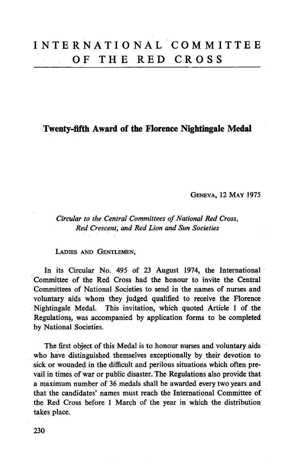# **Twenty-fifth Award of the Florence Nightingale Medal**

GENEVA, 12 MAY 1975

*Circular to the Central Committees of National Red Cross, Red Crescent, and Red Lion and Sun Societies*

LADIES AND GENTLEMEN,

In its Circular No. 495 of 23 August 1974, the International Committee of the Red Cross had the honour to invite the Central Committees of National Societies to send in the names of nurses and voluntary aids whom they judged qualified to receive the Florence Nightingale Medal. This invitation, which quoted Article 1 of the Regulations, was accompanied by application forms to be completed by National Societies.

The first object of this Medal is to honour nurses and voluntary aids who have distinguished themselves exceptionally by their devotion to sick or wounded in the difficult and perilous situations which often prevail in times of war or public disaster. The Regulations also provide that a maximum number of 36 medals shall be awarded every two years and that the candidates' names must reach the International Committee of the Red Cross before 1 March of the year in which the distribution takes place.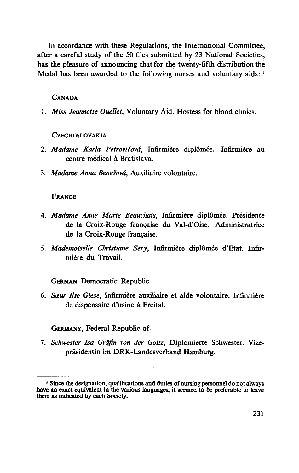In accordance with these Regulations, the International Committee, after a careful study of the 50 files submitted by 23 National Societies, has the pleasure of announcing that for the twenty-fifth distribution the Medal has been awarded to the following nurses and voluntary aids:<sup>1</sup>

#### CANADA

1. *Miss Jeannette Ouellet,* Voluntary Aid. Hostess for blood clinics.

#### **CZECHOSLOVAKIA**

- 2. Madame Karla Petrovičová, Infirmière diplômée. Infirmière au centre medical a Bratislava.
- 3. *Madame Anna BeneSovd,* Auxiliaire volontaire.

#### FRANCE

- 4. *Madame Anne Marie Beauchais,* Infirmiere diplomee. Presidente de la Croix-Rouge francaise du Val-d'Oise. Administratrice de la Croix-Rouge francaise.
- 5. *Mademoiselle Christiane Sery,* Infirmiere dipldmee d'Etat. Infirmiere du Travail.

GERMAN Democratic Republic

6. *Saw Use Giese,* Infirmiere auxiliaire et aide volontaire. Infirmiere de dispensaire d'usine a Freital.

GERMANY, Federal Republic of

7. *Schwester Isa Grafin von der Goltz,* Diplomierte Schwester. Vizeprasidentin im DRK-Landesverband Hamburg.

<sup>&</sup>lt;sup>1</sup> Since the designation, qualifications and duties of nursing personnel do not always have an exact equivalent in the various languages, it seemed to be preferable to leave them as indicated by each Society.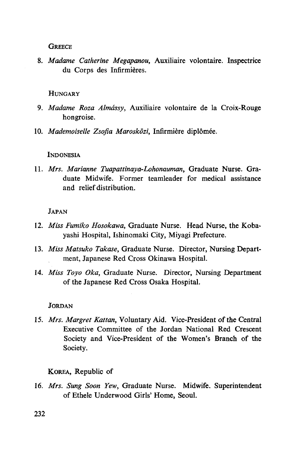**GREECE** 

8. *Madame Catherine Megapanou,* Auxiliaire volontaire. Inspectrice du Corps des Infirmieres.

### HINGARY

- 9. *Madame Roza Almdssy,* Auxiliaire volontaire de la Croix-Rouge hongroise.
- 10. *Mademoiselle Zsofia Maroskozi,* Infirmiere diplomee.

### INDONESIA

11. *Mrs. Marianne Tuapattinaya-Lohonauman,* Graduate Nurse. Graduate Midwife. Former teamleader for medical assistance and relief distribution.

### JAPAN

- 12. *Miss Fumiko Hosokawa,* Graduate Nurse. Head Nurse, the Kobayashi Hospital, Ishinomaki City, Miyagi Prefecture.
- 13. *Miss Matsuko Takase,* Graduate Nurse. Director, Nursing Department, Japanese Red Cross Okinawa Hospital.
- 14. *Miss Toyo Oka,* Graduate Nurse. Director, Nursing Department of the Japanese Red Cross Osaka Hospital.

# **JORDAN**

15. *Mrs. Margret Kattan,* Voluntary Aid. Vice-President of the Central Executive Committee of the Jordan National Red Crescent Society and Vice-President of the Women's Branch of the Society.

# KOREA, Republic of

16. *Mrs. Sung Soon Yew,* Graduate Nurse. Midwife. Superintendent of Ethele Underwood Girls' Home, Seoul.

232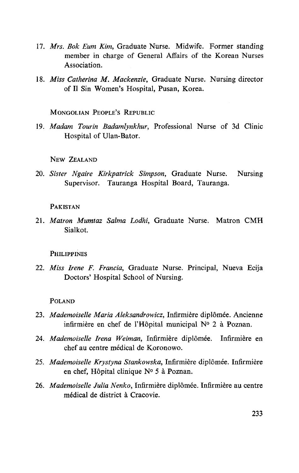- 17. *Mrs. Bok Eum Kim,* Graduate Nurse. Midwife. Former standing member in charge of General Affairs of the Korean Nurses Association.
- 18. *Miss Catherina M. Mackenzie,* Graduate Nurse. Nursing director of II Sin Women's Hospital, Pusan, Korea.

MONGOLIAN PEOPLE'S REPUBLIC

19. Madam Tourin Badamlynkhur, Professional Nurse of 3d Clinic Hospital of Ulan-Bator.

NEW ZEALAND

20. *Sister Ngaire Kirkpatrick Simpson,* Graduate Nurse. Nursing Supervisor. Tauranga Hospital Board, Tauranga.

## PAKISTAN

21. *Matron Mumtaz Salma Lodhi,* Graduate Nurse. Matron CMH Sialkot.

#### **PHILIPPINES**

22. *Miss Irene F. Francia,* Graduate Nurse. Principal, Nueva Ecija Doctors' Hospital School of Nursing.

#### POLAND

- 23. *Mademoiselle Maria Aleksandrowicz,* Infirmiere diplomee. Ancienne infirmiere en chef de l'Hopital municipal N° 2 a Poznan.
- 24. *Mademoiselle Irena Weiman,* Infirmiere diplomee. Infirmiere en chef au centre médical de Koronowo.
- 25. *Mademoiselle Krystyna Stankowska,* Infirmiere diplomee. Infirmiere en chef, Hôpital clinique Nº 5 à Poznan.
- 26. *Mademoiselle Julia Nenko,* Infirmiere diplomee. Infirmiere au centre medical de district a Cracovie.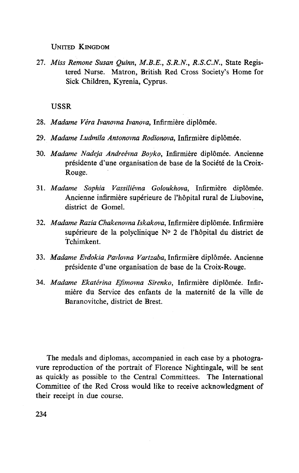UNITED KINGDOM

27. *Miss Remone Susan Quinn, M.B.E., S.R.N., R.S.C.N.,* State Registered Nurse. Matron, British Red Cross Society's Home for Sick Children, Kyrenia, Cyprus.

#### USSR

- 28. *Madame Vera Ivanovna Ivanovo,* Infirmiere diplomee.
- 29. *Madame Ludmila Antonovna Rodionova,* Infirmiere diplomee.
- 30. *Madame Nadeja Andreevna Boyko,* Infirmiere diplomee. Ancienne presidente d'une organisation de base de la Societe de la Croix-Rouge.
- 31. *Madame Sophia Vassilievna Goloukhova,* Infirmiere diplomee. Ancienne infirmière supérieure de l'hôpital rural de Liubovine, district de Gomel.
- 32. *Madame Razia Chakenovna Iskakova,* Infirmiere diplomee. Infirmiere supérieure de la polyclinique N° 2 de l'hôpital du district de Tchimkent.
- 33. Madame Evdokia Pavlovna Vartzaba, Infirmière diplômée. Ancienne presidente d'une organisation de base de la Croix-Rouge.
- 34. *Madame Ekaterina Efimovna Sirenko,* Infirmiere diplomee. Infirmière du Service des enfants de la maternité de la ville de Baranovitche, district de Brest.

The medals and diplomas, accompanied in each case by a photogravure reproduction of the portrait of Florence Nightingale, will be sent as quickly as possible to the Central Committees. The International Committee of the Red Cross would like to receive acknowledgment of their receipt in due course.